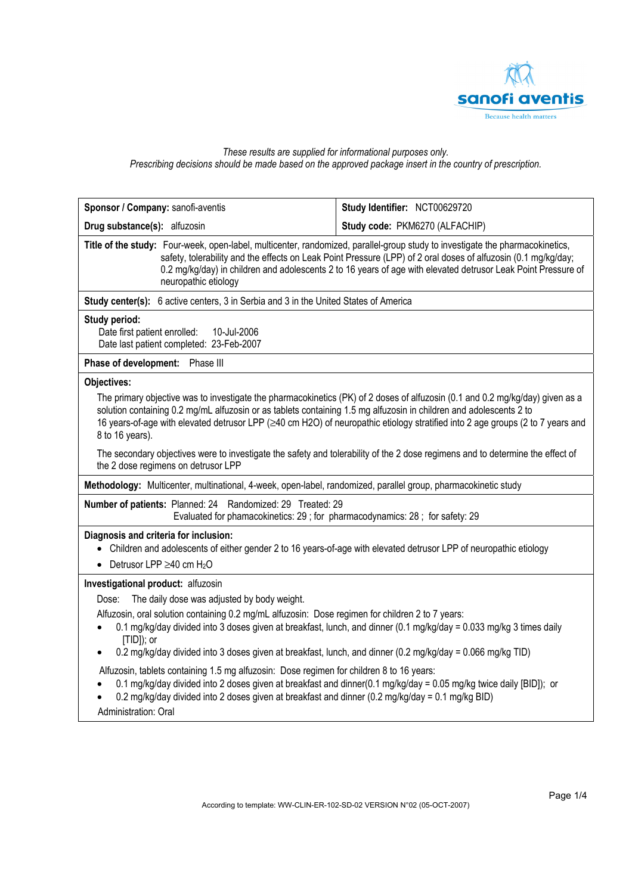

# *These results are supplied for informational purposes only. Prescribing decisions should be made based on the approved package insert in the country of prescription.*

| Sponsor / Company: sanofi-aventis                                                                                                                                                                                                                                                                                                                                                                        | Study Identifier: NCT00629720  |  |  |  |
|----------------------------------------------------------------------------------------------------------------------------------------------------------------------------------------------------------------------------------------------------------------------------------------------------------------------------------------------------------------------------------------------------------|--------------------------------|--|--|--|
| Drug substance(s): alfuzosin                                                                                                                                                                                                                                                                                                                                                                             | Study code: PKM6270 (ALFACHIP) |  |  |  |
| Title of the study: Four-week, open-label, multicenter, randomized, parallel-group study to investigate the pharmacokinetics,<br>safety, tolerability and the effects on Leak Point Pressure (LPP) of 2 oral doses of alfuzosin (0.1 mg/kg/day;<br>0.2 mg/kg/day) in children and adolescents 2 to 16 years of age with elevated detrusor Leak Point Pressure of<br>neuropathic etiology                 |                                |  |  |  |
| Study center(s): 6 active centers, 3 in Serbia and 3 in the United States of America                                                                                                                                                                                                                                                                                                                     |                                |  |  |  |
| <b>Study period:</b><br>Date first patient enrolled:<br>10-Jul-2006<br>Date last patient completed: 23-Feb-2007                                                                                                                                                                                                                                                                                          |                                |  |  |  |
| Phase of development: Phase III                                                                                                                                                                                                                                                                                                                                                                          |                                |  |  |  |
| Objectives:                                                                                                                                                                                                                                                                                                                                                                                              |                                |  |  |  |
| The primary objective was to investigate the pharmacokinetics (PK) of 2 doses of alfuzosin (0.1 and 0.2 mg/kg/day) given as a<br>solution containing 0.2 mg/mL alfuzosin or as tablets containing 1.5 mg alfuzosin in children and adolescents 2 to<br>16 years-of-age with elevated detrusor LPP (≥40 cm H2O) of neuropathic etiology stratified into 2 age groups (2 to 7 years and<br>8 to 16 years). |                                |  |  |  |
| The secondary objectives were to investigate the safety and tolerability of the 2 dose regimens and to determine the effect of<br>the 2 dose regimens on detrusor LPP                                                                                                                                                                                                                                    |                                |  |  |  |
| Methodology: Multicenter, multinational, 4-week, open-label, randomized, parallel group, pharmacokinetic study                                                                                                                                                                                                                                                                                           |                                |  |  |  |
| Number of patients: Planned: 24 Randomized: 29 Treated: 29<br>Evaluated for phamacokinetics: 29 ; for pharmacodynamics: 28 ; for safety: 29                                                                                                                                                                                                                                                              |                                |  |  |  |
| Diagnosis and criteria for inclusion:<br>• Children and adolescents of either gender 2 to 16 years-of-age with elevated detrusor LPP of neuropathic etiology<br>• Detrusor LPP $\geq$ 40 cm H <sub>2</sub> O                                                                                                                                                                                             |                                |  |  |  |
| Investigational product: alfuzosin                                                                                                                                                                                                                                                                                                                                                                       |                                |  |  |  |
| Dose: The daily dose was adjusted by body weight.                                                                                                                                                                                                                                                                                                                                                        |                                |  |  |  |
| Alfuzosin, oral solution containing 0.2 mg/mL alfuzosin: Dose regimen for children 2 to 7 years:<br>0.1 mg/kg/day divided into 3 doses given at breakfast, lunch, and dinner (0.1 mg/kg/day = 0.033 mg/kg 3 times daily<br>$[TID]$ ; or                                                                                                                                                                  |                                |  |  |  |
| 0.2 mg/kg/day divided into 3 doses given at breakfast, lunch, and dinner (0.2 mg/kg/day = 0.066 mg/kg TID)                                                                                                                                                                                                                                                                                               |                                |  |  |  |
| Alfuzosin, tablets containing 1.5 mg alfuzosin: Dose regimen for children 8 to 16 years:<br>0.1 mg/kg/day divided into 2 doses given at breakfast and dinner(0.1 mg/kg/day = 0.05 mg/kg twice daily [BID]); or<br>0.2 mg/kg/day divided into 2 doses given at breakfast and dinner (0.2 mg/kg/day = 0.1 mg/kg BID)<br>Administration: Oral                                                               |                                |  |  |  |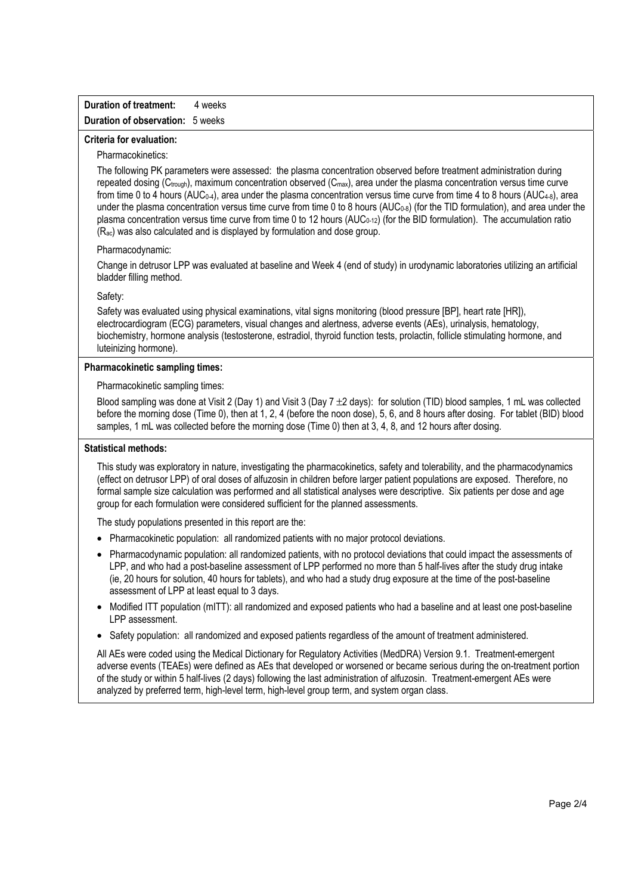## **Duration of treatment:** 4 weeks **Duration of observation:** 5 weeks

### **Criteria for evaluation:**

## Pharmacokinetics:

The following PK parameters were assessed: the plasma concentration observed before treatment administration during repeated dosing ( $C_{\text{trough}}$ ), maximum concentration observed ( $C_{\text{max}}$ ), area under the plasma concentration versus time curve from time 0 to 4 hours (AUC<sub>0-4</sub>), area under the plasma concentration versus time curve from time 4 to 8 hours (AUC<sub>4-8</sub>), area under the plasma concentration versus time curve from time 0 to 8 hours (AUC<sub>0-8</sub>) (for the TID formulation), and area under the plasma concentration versus time curve from time 0 to 12 hours (AUC<sub>0-12</sub>) (for the BID formulation). The accumulation ratio (Rac) was also calculated and is displayed by formulation and dose group.

#### Pharmacodynamic:

Change in detrusor LPP was evaluated at baseline and Week 4 (end of study) in urodynamic laboratories utilizing an artificial bladder filling method.

### Safety:

Safety was evaluated using physical examinations, vital signs monitoring (blood pressure [BP], heart rate [HR]), electrocardiogram (ECG) parameters, visual changes and alertness, adverse events (AEs), urinalysis, hematology, biochemistry, hormone analysis (testosterone, estradiol, thyroid function tests, prolactin, follicle stimulating hormone, and luteinizing hormone).

# **Pharmacokinetic sampling times:**

Pharmacokinetic sampling times:

Blood sampling was done at Visit 2 (Day 1) and Visit 3 (Day 7 ±2 days): for solution (TID) blood samples, 1 mL was collected before the morning dose (Time 0), then at 1, 2, 4 (before the noon dose), 5, 6, and 8 hours after dosing. For tablet (BID) blood samples, 1 mL was collected before the morning dose (Time 0) then at 3, 4, 8, and 12 hours after dosing.

### **Statistical methods:**

This study was exploratory in nature, investigating the pharmacokinetics, safety and tolerability, and the pharmacodynamics (effect on detrusor LPP) of oral doses of alfuzosin in children before larger patient populations are exposed. Therefore, no formal sample size calculation was performed and all statistical analyses were descriptive. Six patients per dose and age group for each formulation were considered sufficient for the planned assessments.

The study populations presented in this report are the:

- Pharmacokinetic population: all randomized patients with no major protocol deviations.
- Pharmacodynamic population: all randomized patients, with no protocol deviations that could impact the assessments of LPP, and who had a post-baseline assessment of LPP performed no more than 5 half-lives after the study drug intake (ie, 20 hours for solution, 40 hours for tablets), and who had a study drug exposure at the time of the post-baseline assessment of LPP at least equal to 3 days.
- Modified ITT population (mITT): all randomized and exposed patients who had a baseline and at least one post-baseline LPP assessment.
- Safety population: all randomized and exposed patients regardless of the amount of treatment administered.

All AEs were coded using the Medical Dictionary for Regulatory Activities (MedDRA) Version 9.1. Treatment-emergent adverse events (TEAEs) were defined as AEs that developed or worsened or became serious during the on-treatment portion of the study or within 5 half-lives (2 days) following the last administration of alfuzosin. Treatment-emergent AEs were analyzed by preferred term, high-level term, high-level group term, and system organ class.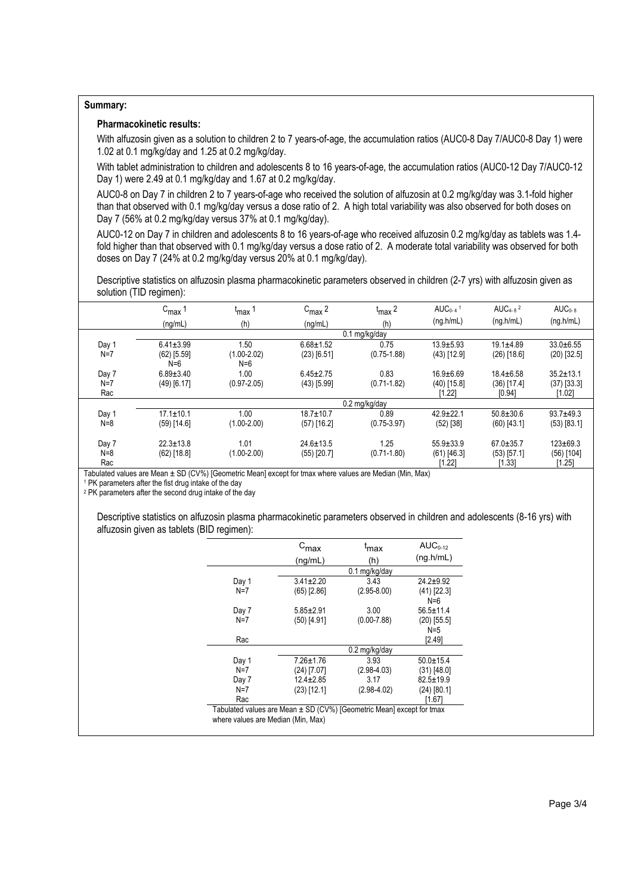### **Summary:**

# **Pharmacokinetic results:**

With alfuzosin given as a solution to children 2 to 7 years-of-age, the accumulation ratios (AUC0-8 Day 7/AUC0-8 Day 1) were 1.02 at 0.1 mg/kg/day and 1.25 at 0.2 mg/kg/day.

With tablet administration to children and adolescents 8 to 16 years-of-age, the accumulation ratios (AUC0-12 Day 7/AUC0-12 Day 1) were 2.49 at 0.1 mg/kg/day and 1.67 at 0.2 mg/kg/day.

AUC0-8 on Day 7 in children 2 to 7 years-of-age who received the solution of alfuzosin at 0.2 mg/kg/day was 3.1-fold higher than that observed with 0.1 mg/kg/day versus a dose ratio of 2. A high total variability was also observed for both doses on Day 7 (56% at 0.2 mg/kg/day versus 37% at 0.1 mg/kg/day).

AUC0-12 on Day 7 in children and adolescents 8 to 16 years-of-age who received alfuzosin 0.2 mg/kg/day as tablets was 1.4 fold higher than that observed with 0.1 mg/kg/day versus a dose ratio of 2. A moderate total variability was observed for both doses on Day 7 (24% at 0.2 mg/kg/day versus 20% at 0.1 mg/kg/day).

Descriptive statistics on alfuzosin plasma pharmacokinetic parameters observed in children (2-7 yrs) with alfuzosin given as solution (TID regimen):

|       | $C_{\text{max}}$       | $t_{\text{max}}$ 1       | $C_{\text{max}}$ 2 | $t_{\text{max}}$ 2 | AUC <sub>0-4</sub> $1$ | AUC <sub>4-8</sub> $2$ | $AUC0-8$        |
|-------|------------------------|--------------------------|--------------------|--------------------|------------------------|------------------------|-----------------|
|       | (ng/mL)                | (h)                      | (nq/mL)            | (h)                | (ng.h/mL)              | (ng.h/mL)              | (ng.h/mL)       |
|       | 0.1 mg/kg/day          |                          |                    |                    |                        |                        |                 |
| Day 1 | $6.41 \pm 3.99$        | .50                      | $6.68 \pm 1.52$    | 0.75               | $13.9 + 5.93$          | $19.1 \pm 4.89$        | $33.0 + 6.55$   |
| $N=7$ | $(62)$ [5.59]<br>$N=6$ | $(1.00 - 2.02)$<br>$N=6$ | $(23)$ [6.51]      | $(0.75 - 1.88)$    | $(43)$ [12.9]          | $(26)$ [18.6]          | $(20)$ [32.5]   |
| Day 7 | $6.89 \pm 3.40$        | 1.00                     | $6.45 \pm 2.75$    | 0.83               | $16.9 + 6.69$          | $18.4 \pm 6.58$        | $35.2 \pm 13.1$ |
| $N=7$ | $(49)$ [6.17]          | $(0.97 - 2.05)$          | $(43)$ [5.99]      | $(0.71 - 1.82)$    | $(40)$ [15.8]          | $(36)$ [17.4]          | $(37)$ [33.3]   |
| Rac   |                        |                          |                    |                    | [1.22]                 | [0.94]                 | [1.02]          |
|       |                        |                          |                    | 0.2 mg/kg/day      |                        |                        |                 |
| Day 1 | $17.1 \pm 10.1$        | 1.00                     | $18.7 \pm 10.7$    | 0.89               | $42.9 + 22.1$          | $50.8 \pm 30.6$        | $93.7 + 49.3$   |
| $N=8$ | $(59)$ [14.6]          | $(1.00 - 2.00)$          | $(57)$ [16.2]      | $(0.75 - 3.97)$    | $(52)$ [38]            | $(60)$ [43.1]          | $(53)$ [83.1]   |
| Day 7 | $22.3 \pm 13.8$        | 1.01                     | $24.6 \pm 13.5$    | 1.25               | $55.9 \pm 33.9$        | $67.0 \pm 35.7$        | $123 \pm 69.3$  |
| $N=8$ | $(62)$ [18.8]          | $(1.00 - 2.00)$          | $(55)$ [20.7]      | $(0.71 - 1.80)$    | $(61)$ [46.3]          | $(53)$ [57.1]          | $(56)$ [104]    |
| Rac   |                        |                          |                    |                    | [1.22]                 | [1.33]                 | [1.25]          |

Tabulated values are Mean  $\pm$  SD (CV%) [Geometric Mean] except for tmax where values are Median (Min, Max) 1 PK parameters after the fist drug intake of the day

2 PK parameters after the second drug intake of the day

Descriptive statistics on alfuzosin plasma pharmacokinetic parameters observed in children and adolescents (8-16 yrs) with alfuzosin given as tablets (BID regimen):

|       | $c_{\text{max}}$<br>(ng/mL) | <sup>ւ</sup> max<br>(h) | $AUC0-12$<br>(nq.h/mL)   |  |
|-------|-----------------------------|-------------------------|--------------------------|--|
|       |                             | 0.1 mg/kg/day           |                          |  |
| Day 1 | $3.41 \pm 2.20$             | 3.43                    | $24.2 + 9.92$            |  |
| $N=7$ | $(65)$ [2.86]               | $(2.95 - 8.00)$         | $(41)$ [22.3]<br>$N = 6$ |  |
| Day 7 | $5.85 \pm 2.91$             | 3.00                    | $56.5 \pm 11.4$          |  |
| $N=7$ | $(50)$ [4.91]               | $(0.00 - 7.88)$         | $(20)$ [55.5]<br>$N=5$   |  |
| Rac   |                             |                         | [2.49]                   |  |
|       |                             | 0.2 mg/kg/day           |                          |  |
| Day 1 | $7.26 \pm 1.76$             | 3.93                    | $50.0 \pm 15.4$          |  |
| $N=7$ | $(24)$ [7.07]               | $(2.98 - 4.03)$         | $(31)$ [48.0]            |  |
| Day 7 | $12.4 \pm 2.85$             | 3.17                    | $82.5 \pm 19.9$          |  |
| $N=7$ | $(23)$ [12.1]               | $(2.98-4.02)$           | (24) [80.1]              |  |
| Rac   |                             |                         | [1.67]                   |  |

Tabulated values are Mean  $\pm$  SD (CV%) [Geometric Mean] except for tmax where values are Median (Min, Max)